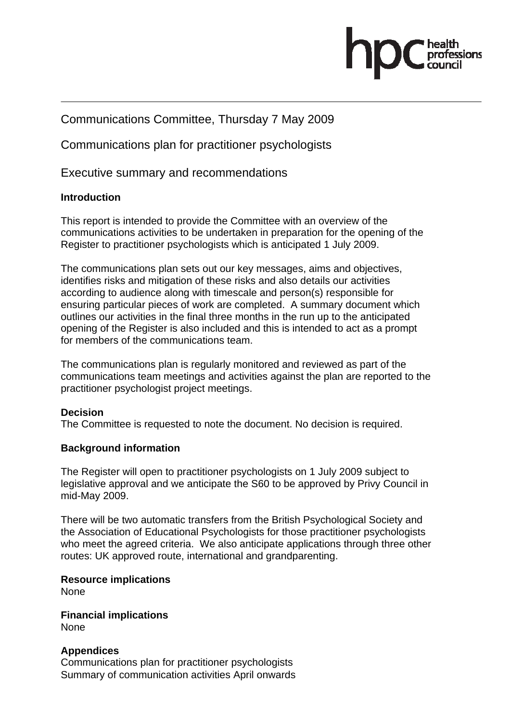# Communications Committee, Thursday 7 May 2009

Communications plan for practitioner psychologists

Executive summary and recommendations

# **Introduction**

This report is intended to provide the Committee with an overview of the communications activities to be undertaken in preparation for the opening of the Register to practitioner psychologists which is anticipated 1 July 2009.

The communications plan sets out our key messages, aims and objectives, identifies risks and mitigation of these risks and also details our activities according to audience along with timescale and person(s) responsible for ensuring particular pieces of work are completed. A summary document which outlines our activities in the final three months in the run up to the anticipated opening of the Register is also included and this is intended to act as a prompt for members of the communications team.

The communications plan is regularly monitored and reviewed as part of the communications team meetings and activities against the plan are reported to the practitioner psychologist project meetings.

# **Decision**

The Committee is requested to note the document. No decision is required.

# **Background information**

The Register will open to practitioner psychologists on 1 July 2009 subject to legislative approval and we anticipate the S60 to be approved by Privy Council in mid-May 2009.

There will be two automatic transfers from the British Psychological Society and the Association of Educational Psychologists for those practitioner psychologists who meet the agreed criteria. We also anticipate applications through three other routes: UK approved route, international and grandparenting.

**Resource implications**  None

**Financial implications**  None

# **Appendices**

Communications plan for practitioner psychologists Summary of communication activities April onwards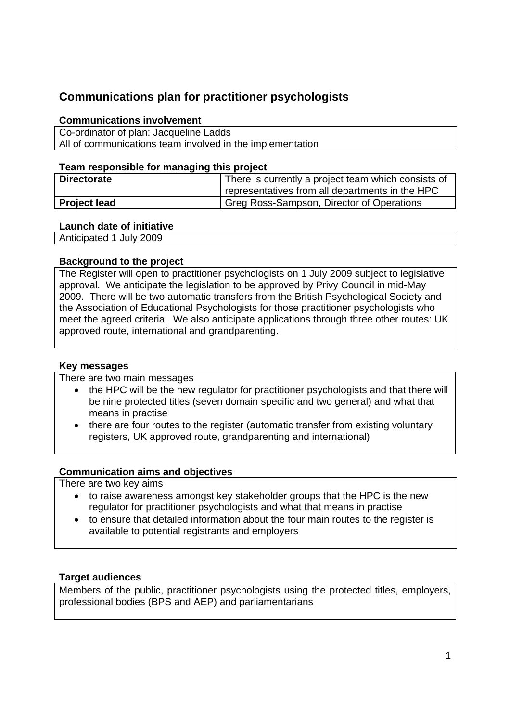# **Communications plan for practitioner psychologists**

#### **Communications involvement**

Co-ordinator of plan: Jacqueline Ladds All of communications team involved in the implementation

#### **Team responsible for managing this project**

| <b>Directorate</b>  | There is currently a project team which consists of<br>representatives from all departments in the HPC |
|---------------------|--------------------------------------------------------------------------------------------------------|
| <b>Project lead</b> | Greg Ross-Sampson, Director of Operations                                                              |

#### **Launch date of initiative**

Anticipated 1 July 2009

#### **Background to the project**

The Register will open to practitioner psychologists on 1 July 2009 subject to legislative approval. We anticipate the legislation to be approved by Privy Council in mid-May 2009. There will be two automatic transfers from the British Psychological Society and the Association of Educational Psychologists for those practitioner psychologists who meet the agreed criteria. We also anticipate applications through three other routes: UK approved route, international and grandparenting.

#### **Key messages**

There are two main messages

- the HPC will be the new regulator for practitioner psychologists and that there will be nine protected titles (seven domain specific and two general) and what that means in practise
- there are four routes to the register (automatic transfer from existing voluntary registers, UK approved route, grandparenting and international)

### **Communication aims and objectives**

There are two key aims

- to raise awareness amongst key stakeholder groups that the HPC is the new regulator for practitioner psychologists and what that means in practise
- to ensure that detailed information about the four main routes to the register is available to potential registrants and employers

### **Target audiences**

Members of the public, practitioner psychologists using the protected titles, employers, professional bodies (BPS and AEP) and parliamentarians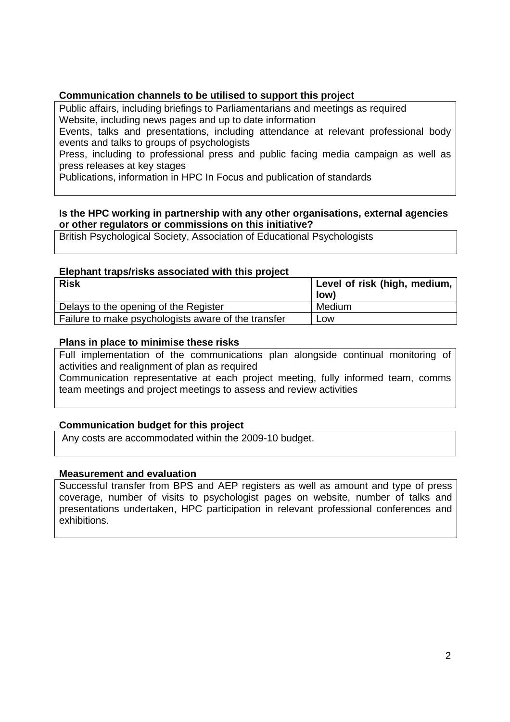## **Communication channels to be utilised to support this project**

Public affairs, including briefings to Parliamentarians and meetings as required Website, including news pages and up to date information

Events, talks and presentations, including attendance at relevant professional body events and talks to groups of psychologists

Press, including to professional press and public facing media campaign as well as press releases at key stages

Publications, information in HPC In Focus and publication of standards

#### **Is the HPC working in partnership with any other organisations, external agencies or other regulators or commissions on this initiative?**

British Psychological Society, Association of Educational Psychologists

#### **Elephant traps/risks associated with this project**

| <b>Risk</b>                                         | Level of risk (high, medium, |
|-----------------------------------------------------|------------------------------|
|                                                     | low)                         |
| Delays to the opening of the Register               | Medium                       |
| Failure to make psychologists aware of the transfer | Low                          |

#### **Plans in place to minimise these risks**

Full implementation of the communications plan alongside continual monitoring of activities and realignment of plan as required

Communication representative at each project meeting, fully informed team, comms team meetings and project meetings to assess and review activities

### **Communication budget for this project**

Any costs are accommodated within the 2009-10 budget.

#### **Measurement and evaluation**

Successful transfer from BPS and AEP registers as well as amount and type of press coverage, number of visits to psychologist pages on website, number of talks and presentations undertaken, HPC participation in relevant professional conferences and exhibitions.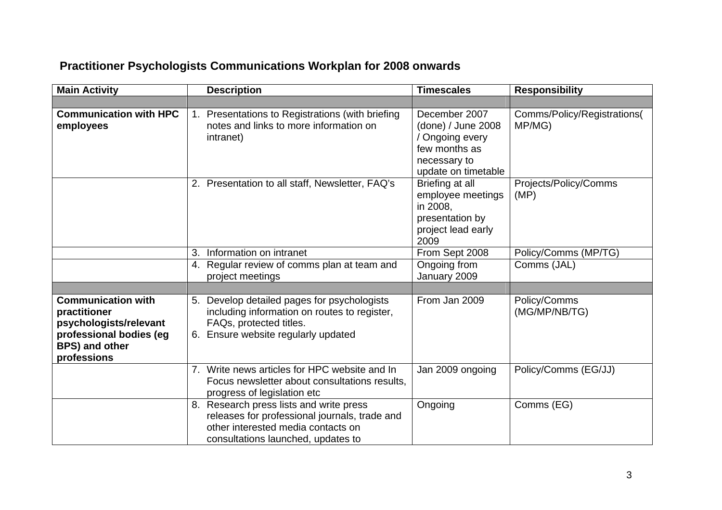# **Practitioner Psychologists Communications Workplan for 2008 onwards**

| <b>Main Activity</b>                                                                                                                   | <b>Description</b>                                                                                                                                                   | <b>Timescales</b>                                                                                              | <b>Responsibility</b>                 |
|----------------------------------------------------------------------------------------------------------------------------------------|----------------------------------------------------------------------------------------------------------------------------------------------------------------------|----------------------------------------------------------------------------------------------------------------|---------------------------------------|
|                                                                                                                                        |                                                                                                                                                                      |                                                                                                                |                                       |
| <b>Communication with HPC</b><br>employees                                                                                             | 1. Presentations to Registrations (with briefing<br>notes and links to more information on<br>intranet)                                                              | December 2007<br>(done) / June 2008<br>/ Ongoing every<br>few months as<br>necessary to<br>update on timetable | Comms/Policy/Registrations(<br>MP/MG) |
|                                                                                                                                        | 2. Presentation to all staff, Newsletter, FAQ's                                                                                                                      | Briefing at all<br>employee meetings<br>in 2008,<br>presentation by<br>project lead early<br>2009              | Projects/Policy/Comms<br>(MP)         |
|                                                                                                                                        | 3.<br>Information on intranet                                                                                                                                        | From Sept 2008                                                                                                 | Policy/Comms (MP/TG)                  |
|                                                                                                                                        | 4. Regular review of comms plan at team and<br>project meetings                                                                                                      | Ongoing from<br>January 2009                                                                                   | Comms (JAL)                           |
|                                                                                                                                        |                                                                                                                                                                      |                                                                                                                |                                       |
| <b>Communication with</b><br>practitioner<br>psychologists/relevant<br>professional bodies (eg<br><b>BPS) and other</b><br>professions | 5. Develop detailed pages for psychologists<br>including information on routes to register,<br>FAQs, protected titles.<br>Ensure website regularly updated<br>6.     | From Jan 2009                                                                                                  | Policy/Comms<br>(MG/MP/NB/TG)         |
|                                                                                                                                        | 7. Write news articles for HPC website and In<br>Focus newsletter about consultations results,<br>progress of legislation etc                                        | Jan 2009 ongoing                                                                                               | Policy/Comms (EG/JJ)                  |
|                                                                                                                                        | 8. Research press lists and write press<br>releases for professional journals, trade and<br>other interested media contacts on<br>consultations launched, updates to | Ongoing                                                                                                        | Comms (EG)                            |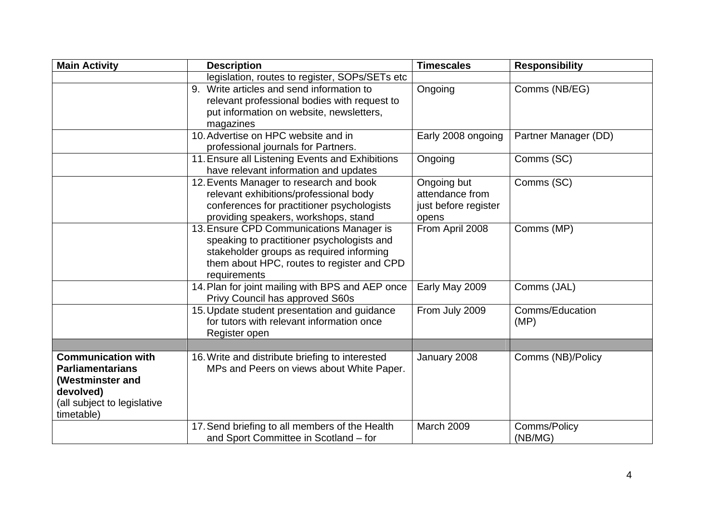| <b>Main Activity</b>                                                                                                               | <b>Description</b>                                                                                                                                                                               | <b>Timescales</b>                                               | <b>Responsibility</b>   |
|------------------------------------------------------------------------------------------------------------------------------------|--------------------------------------------------------------------------------------------------------------------------------------------------------------------------------------------------|-----------------------------------------------------------------|-------------------------|
|                                                                                                                                    | legislation, routes to register, SOPs/SETs etc                                                                                                                                                   |                                                                 |                         |
|                                                                                                                                    | 9. Write articles and send information to<br>relevant professional bodies with request to<br>put information on website, newsletters,<br>magazines                                               | Ongoing                                                         | Comms (NB/EG)           |
|                                                                                                                                    | 10. Advertise on HPC website and in<br>professional journals for Partners.                                                                                                                       | Early 2008 ongoing                                              | Partner Manager (DD)    |
|                                                                                                                                    | 11. Ensure all Listening Events and Exhibitions<br>have relevant information and updates                                                                                                         | Ongoing                                                         | Comms (SC)              |
|                                                                                                                                    | 12. Events Manager to research and book<br>relevant exhibitions/professional body<br>conferences for practitioner psychologists<br>providing speakers, workshops, stand                          | Ongoing but<br>attendance from<br>just before register<br>opens | Comms (SC)              |
|                                                                                                                                    | 13. Ensure CPD Communications Manager is<br>speaking to practitioner psychologists and<br>stakeholder groups as required informing<br>them about HPC, routes to register and CPD<br>requirements | From April 2008                                                 | Comms (MP)              |
|                                                                                                                                    | 14. Plan for joint mailing with BPS and AEP once<br>Privy Council has approved S60s                                                                                                              | Early May 2009                                                  | Comms (JAL)             |
|                                                                                                                                    | 15. Update student presentation and guidance<br>for tutors with relevant information once<br>Register open                                                                                       | From July 2009                                                  | Comms/Education<br>(MP) |
|                                                                                                                                    |                                                                                                                                                                                                  |                                                                 |                         |
| <b>Communication with</b><br><b>Parliamentarians</b><br>(Westminster and<br>devolved)<br>(all subject to legislative<br>timetable) | 16. Write and distribute briefing to interested<br>MPs and Peers on views about White Paper.                                                                                                     | January 2008                                                    | Comms (NB)/Policy       |
|                                                                                                                                    | 17. Send briefing to all members of the Health<br>and Sport Committee in Scotland - for                                                                                                          | March 2009                                                      | Comms/Policy<br>(NB/MG) |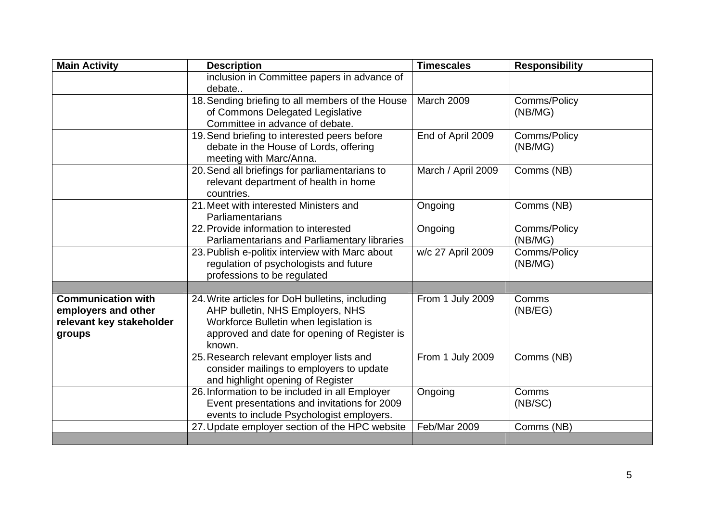| <b>Main Activity</b>                                                                   | <b>Description</b>                                                                                                                                                                      | <b>Timescales</b>  | <b>Responsibility</b>   |
|----------------------------------------------------------------------------------------|-----------------------------------------------------------------------------------------------------------------------------------------------------------------------------------------|--------------------|-------------------------|
|                                                                                        | inclusion in Committee papers in advance of<br>debate                                                                                                                                   |                    |                         |
|                                                                                        | 18. Sending briefing to all members of the House<br>of Commons Delegated Legislative<br>Committee in advance of debate.                                                                 | <b>March 2009</b>  | Comms/Policy<br>(NB/MG) |
|                                                                                        | 19. Send briefing to interested peers before<br>debate in the House of Lords, offering<br>meeting with Marc/Anna.                                                                       | End of April 2009  | Comms/Policy<br>(NB/MG) |
|                                                                                        | 20. Send all briefings for parliamentarians to<br>relevant department of health in home<br>countries.                                                                                   | March / April 2009 | Comms (NB)              |
|                                                                                        | 21. Meet with interested Ministers and<br>Parliamentarians                                                                                                                              | Ongoing            | Comms (NB)              |
|                                                                                        | 22. Provide information to interested<br>Parliamentarians and Parliamentary libraries                                                                                                   | Ongoing            | Comms/Policy<br>(NB/MG) |
|                                                                                        | 23. Publish e-politix interview with Marc about<br>regulation of psychologists and future<br>professions to be regulated                                                                | w/c 27 April 2009  | Comms/Policy<br>(NB/MG) |
|                                                                                        |                                                                                                                                                                                         |                    |                         |
| <b>Communication with</b><br>employers and other<br>relevant key stakeholder<br>groups | 24. Write articles for DoH bulletins, including<br>AHP bulletin, NHS Employers, NHS<br>Workforce Bulletin when legislation is<br>approved and date for opening of Register is<br>known. | From 1 July 2009   | Comms<br>(NB/EG)        |
|                                                                                        | 25. Research relevant employer lists and<br>consider mailings to employers to update<br>and highlight opening of Register                                                               | From 1 July 2009   | Comms (NB)              |
|                                                                                        | 26. Information to be included in all Employer<br>Event presentations and invitations for 2009<br>events to include Psychologist employers.                                             | Ongoing            | Comms<br>(NB/SC)        |
|                                                                                        | 27. Update employer section of the HPC website                                                                                                                                          | Feb/Mar 2009       | Comms (NB)              |
|                                                                                        |                                                                                                                                                                                         |                    |                         |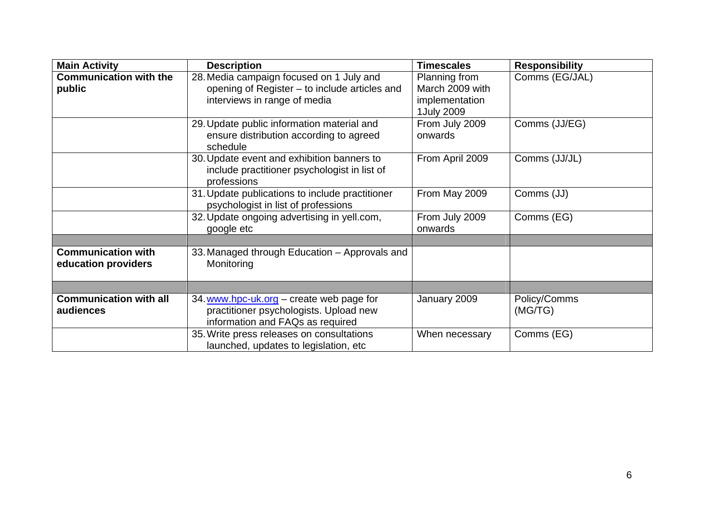| <b>Main Activity</b>                             | <b>Description</b>                                                                                                        | <b>Timescales</b>                                                | <b>Responsibility</b>   |
|--------------------------------------------------|---------------------------------------------------------------------------------------------------------------------------|------------------------------------------------------------------|-------------------------|
| <b>Communication with the</b><br>public          | 28. Media campaign focused on 1 July and<br>opening of Register - to include articles and<br>interviews in range of media | Planning from<br>March 2009 with<br>implementation<br>1July 2009 | Comms (EG/JAL)          |
|                                                  | 29. Update public information material and<br>ensure distribution according to agreed<br>schedule                         | From July 2009<br>onwards                                        | Comms (JJ/EG)           |
|                                                  | 30. Update event and exhibition banners to<br>include practitioner psychologist in list of<br>professions                 | From April 2009                                                  | Comms (JJ/JL)           |
|                                                  | 31. Update publications to include practitioner<br>psychologist in list of professions                                    | From May 2009                                                    | Comms (JJ)              |
|                                                  | 32. Update ongoing advertising in yell.com,<br>google etc                                                                 | From July 2009<br>onwards                                        | Comms (EG)              |
|                                                  |                                                                                                                           |                                                                  |                         |
| <b>Communication with</b><br>education providers | 33. Managed through Education - Approvals and<br>Monitoring                                                               |                                                                  |                         |
|                                                  |                                                                                                                           |                                                                  |                         |
| <b>Communication with all</b><br>audiences       | 34. www.hpc-uk.org - create web page for<br>practitioner psychologists. Upload new<br>information and FAQs as required    | January 2009                                                     | Policy/Comms<br>(MG/TG) |
|                                                  | 35. Write press releases on consultations<br>launched, updates to legislation, etc                                        | When necessary                                                   | Comms (EG)              |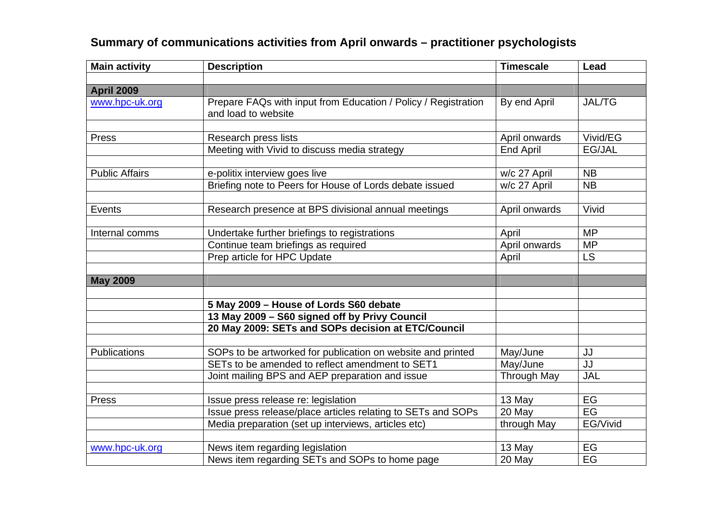| <b>Main activity</b>  | <b>Description</b>                                                                    | <b>Timescale</b>   | Lead          |
|-----------------------|---------------------------------------------------------------------------------------|--------------------|---------------|
|                       |                                                                                       |                    |               |
| <b>April 2009</b>     |                                                                                       |                    |               |
| www.hpc-uk.org        | Prepare FAQs with input from Education / Policy / Registration<br>and load to website | By end April       | <b>JAL/TG</b> |
|                       |                                                                                       |                    |               |
| Press                 | Research press lists                                                                  | April onwards      | Vivid/EG      |
|                       | Meeting with Vivid to discuss media strategy                                          | <b>End April</b>   | EG/JAL        |
| <b>Public Affairs</b> | e-politix interview goes live                                                         | w/c 27 April       | <b>NB</b>     |
|                       | Briefing note to Peers for House of Lords debate issued                               | w/c 27 April       | <b>NB</b>     |
| Events                | Research presence at BPS divisional annual meetings                                   | April onwards      | Vivid         |
|                       |                                                                                       |                    |               |
| Internal comms        | Undertake further briefings to registrations                                          | April              | <b>MP</b>     |
|                       | Continue team briefings as required                                                   | April onwards      | <b>MP</b>     |
|                       | Prep article for HPC Update                                                           | April              | <b>LS</b>     |
| <b>May 2009</b>       |                                                                                       |                    |               |
|                       | 5 May 2009 - House of Lords S60 debate                                                |                    |               |
|                       | 13 May 2009 - S60 signed off by Privy Council                                         |                    |               |
|                       | 20 May 2009: SETs and SOPs decision at ETC/Council                                    |                    |               |
| Publications          | SOPs to be artworked for publication on website and printed                           | May/June           | JJ            |
|                       | SETs to be amended to reflect amendment to SET1                                       | May/June           | JJ            |
|                       | Joint mailing BPS and AEP preparation and issue                                       | <b>Through May</b> | JAL           |
|                       |                                                                                       |                    |               |
| Press                 | Issue press release re: legislation                                                   | 13 May             | EG            |
|                       | Issue press release/place articles relating to SETs and SOPs                          | 20 May             | EG            |
|                       | Media preparation (set up interviews, articles etc)                                   | through May        | EG/Vivid      |
| www.hpc-uk.org        | News item regarding legislation                                                       | 13 May             | EG            |
|                       | News item regarding SETs and SOPs to home page                                        | 20 May             | EG            |

# **Summary of communications activities from April onwards – practitioner psychologists**